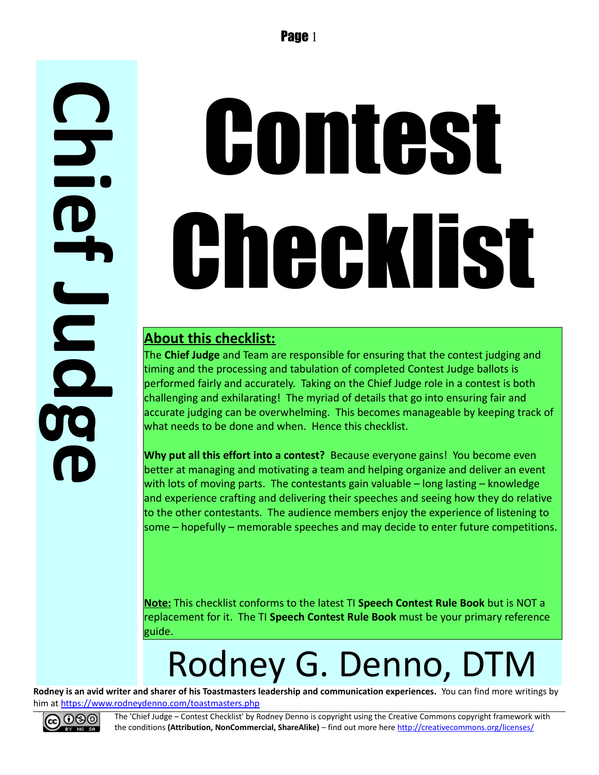# Contest Checklist

#### **About this checklist:**

The **Chief Judge** and Team are responsible for ensuring that the contest judging and timing and the processing and tabulation of completed Contest Judge ballots is performed fairly and accurately. Taking on the Chief Judge role in a contest is both challenging and exhilarating! The myriad of details that go into ensuring fair and accurate judging can be overwhelming. This becomes manageable by keeping track of what needs to be done and when. Hence this checklist.

**Why put all this effort into a contest?** Because everyone gains! You become even better at managing and motivating a team and helping organize and deliver an event with lots of moving parts. The contestants gain valuable – long lasting – knowledge and experience crafting and delivering their speeches and seeing how they do relative to the other contestants. The audience members enjoy the experience of listening to some – hopefully – memorable speeches and may decide to enter future competitions.

**Note:** This checklist conforms to the latest TI **Speech Contest Rule Book** but is NOT a replacement for it. The TI **Speech Contest Rule Book** must be your primary reference guide.

## Rodney G. Denno, DTM

**Rodney is an avid writer and sharer of his Toastmasters leadership and communication experiences.** You can find more writings by him at<https://www.rodneydenno.com/toastmasters.php>



**C**

**h**

**i**

**f**

**J**

**u**

**d**

**gro** 

**e**

**e**

The 'Chief Judge – Contest Checklist' by Rodney Denno is copyright using the Creative Commons copyright framework with the conditions **(Attribution, NonCommercial, ShareAlike)** – find out more here<http://creativecommons.org/licenses/>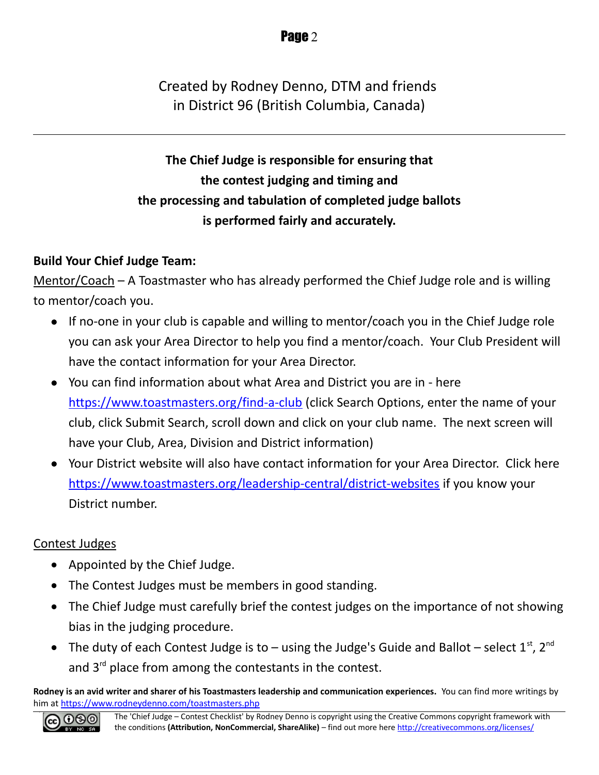Created by Rodney Denno, DTM and friends in District 96 (British Columbia, Canada)

**The Chief Judge is responsible for ensuring that the contest judging and timing and the processing and tabulation of completed judge ballots is performed fairly and accurately.**

#### **Build Your Chief Judge Team:**

Mentor/Coach – A Toastmaster who has already performed the Chief Judge role and is willing to mentor/coach you.

- If no-one in your club is capable and willing to mentor/coach you in the Chief Judge role you can ask your Area Director to help you find a mentor/coach. Your Club President will have the contact information for your Area Director.
- You can find information about what Area and District you are in here <https://www.toastmasters.org/find-a-club>(click Search Options, enter the name of your club, click Submit Search, scroll down and click on your club name. The next screen will have your Club, Area, Division and District information)
- Your District website will also have contact information for your Area Director. Click here <https://www.toastmasters.org/leadership-central/district-websites>if you know your District number.

#### Contest Judges

- Appointed by the Chief Judge.
- The Contest Judges must be members in good standing.
- The Chief Judge must carefully brief the contest judges on the importance of not showing bias in the judging procedure.
- The duty of each Contest Judge is to using the Judge's Guide and Ballot select  $1^{st}$ ,  $2^{nd}$ and  $3<sup>rd</sup>$  place from among the contestants in the contest.

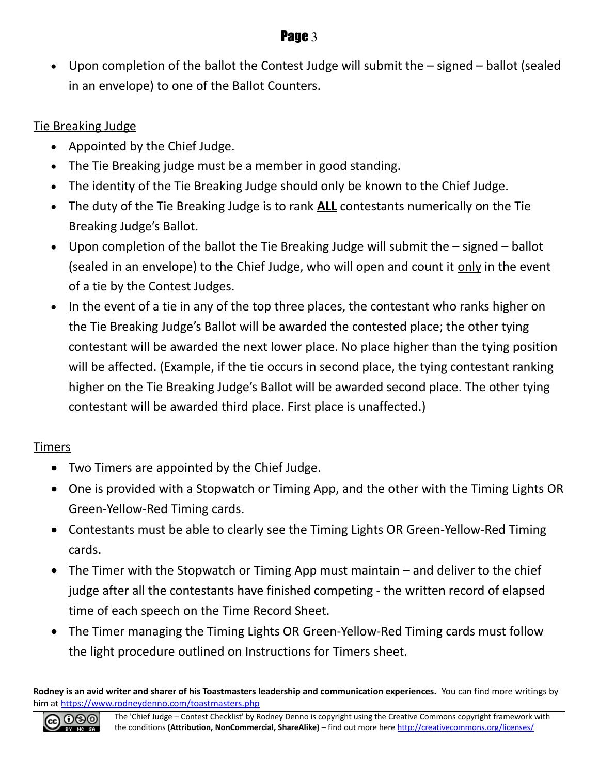Upon completion of the ballot the Contest Judge will submit the – signed – ballot (sealed in an envelope) to one of the Ballot Counters.

#### Tie Breaking Judge

- Appointed by the Chief Judge.
- The Tie Breaking judge must be a member in good standing.
- The identity of the Tie Breaking Judge should only be known to the Chief Judge.
- The duty of the Tie Breaking Judge is to rank **ALL** contestants numerically on the Tie Breaking Judge's Ballot.
- Upon completion of the ballot the Tie Breaking Judge will submit the signed ballot (sealed in an envelope) to the Chief Judge, who will open and count it only in the event of a tie by the Contest Judges.
- In the event of a tie in any of the top three places, the contestant who ranks higher on the Tie Breaking Judge's Ballot will be awarded the contested place; the other tying contestant will be awarded the next lower place. No place higher than the tying position will be affected. (Example, if the tie occurs in second place, the tying contestant ranking higher on the Tie Breaking Judge's Ballot will be awarded second place. The other tying contestant will be awarded third place. First place is unaffected.)

#### Timers

- Two Timers are appointed by the Chief Judge.
- One is provided with a Stopwatch or Timing App, and the other with the Timing Lights OR Green-Yellow-Red Timing cards.
- Contestants must be able to clearly see the Timing Lights OR Green-Yellow-Red Timing cards.
- The Timer with the Stopwatch or Timing App must maintain and deliver to the chief judge after all the contestants have finished competing - the written record of elapsed time of each speech on the Time Record Sheet.
- The Timer managing the Timing Lights OR Green-Yellow-Red Timing cards must follow the light procedure outlined on Instructions for Timers sheet.

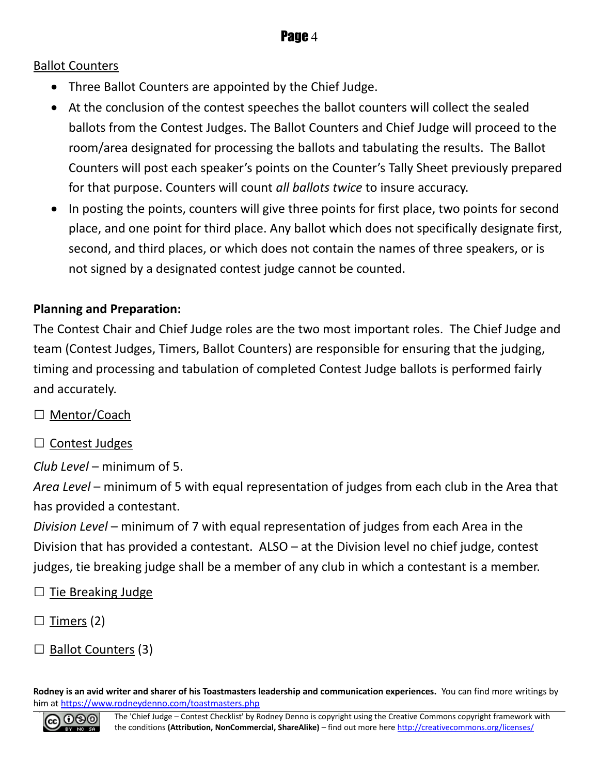#### Ballot Counters

- Three Ballot Counters are appointed by the Chief Judge.
- At the conclusion of the contest speeches the ballot counters will collect the sealed ballots from the Contest Judges. The Ballot Counters and Chief Judge will proceed to the room/area designated for processing the ballots and tabulating the results. The Ballot Counters will post each speaker's points on the Counter's Tally Sheet previously prepared for that purpose. Counters will count *all ballots twice* to insure accuracy.
- In posting the points, counters will give three points for first place, two points for second place, and one point for third place. Any ballot which does not specifically designate first, second, and third places, or which does not contain the names of three speakers, or is not signed by a designated contest judge cannot be counted.

#### **Planning and Preparation:**

The Contest Chair and Chief Judge roles are the two most important roles. The Chief Judge and team (Contest Judges, Timers, Ballot Counters) are responsible for ensuring that the judging, timing and processing and tabulation of completed Contest Judge ballots is performed fairly and accurately.

- □ Mentor/Coach
- $\Box$  Contest Judges

*Club Level* – minimum of 5.

*Area Level* – minimum of 5 with equal representation of judges from each club in the Area that has provided a contestant.

*Division Level* – minimum of 7 with equal representation of judges from each Area in the Division that has provided a contestant. ALSO – at the Division level no chief judge, contest judges, tie breaking judge shall be a member of any club in which a contestant is a member.

 $\Box$  Tie Breaking Judge

 $\Box$  Timers (2)

 $\Box$  Ballot Counters (3)

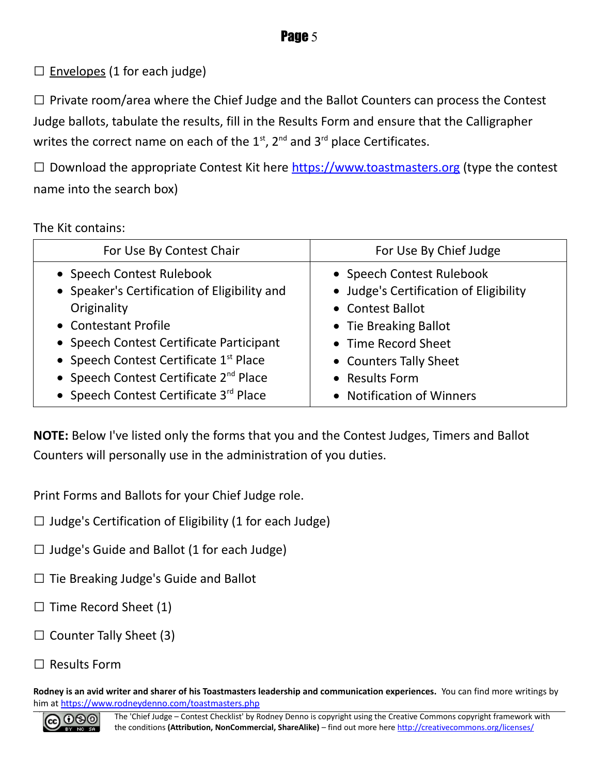$\square$  Envelopes (1 for each judge)

□ Private room/area where the Chief Judge and the Ballot Counters can process the Contest Judge ballots, tabulate the results, fill in the Results Form and ensure that the Calligrapher writes the correct name on each of the  $1<sup>st</sup>$ ,  $2<sup>nd</sup>$  and  $3<sup>rd</sup>$  place Certificates.

 $\square$  Download the appropriate Contest Kit here [https://www.toastmasters.org](https://www.toastmasters.org/) (type the contest name into the search box)

#### The Kit contains:

| For Use By Contest Chair                           | For Use By Chief Judge                 |
|----------------------------------------------------|----------------------------------------|
| • Speech Contest Rulebook                          | • Speech Contest Rulebook              |
| • Speaker's Certification of Eligibility and       | • Judge's Certification of Eligibility |
| Originality                                        | • Contest Ballot                       |
| • Contestant Profile                               | • Tie Breaking Ballot                  |
| • Speech Contest Certificate Participant           | • Time Record Sheet                    |
| • Speech Contest Certificate 1st Place             | • Counters Tally Sheet                 |
| • Speech Contest Certificate 2 <sup>nd</sup> Place | • Results Form                         |
| • Speech Contest Certificate 3rd Place             | • Notification of Winners              |

**NOTE:** Below I've listed only the forms that you and the Contest Judges, Timers and Ballot Counters will personally use in the administration of you duties.

Print Forms and Ballots for your Chief Judge role.

- $\Box$  Judge's Certification of Eligibility (1 for each Judge)
- $\Box$  Judge's Guide and Ballot (1 for each Judge)
- □ Tie Breaking Judge's Guide and Ballot
- $\Box$  Time Record Sheet (1)
- $\Box$  Counter Tally Sheet (3)
- $\Box$  Results Form

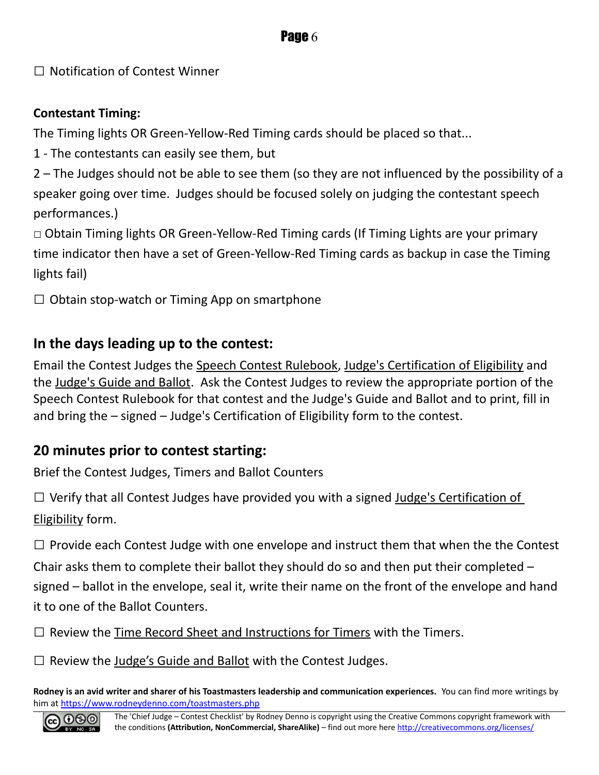#### **Page 6**

 $\Box$  Notification of Contest Winner

#### **Contestant Timing:**

The Timing lights OR Green-Yellow-Red Timing cards should be placed so that...

1 - The contestants can easily see them, but

2 – The Judges should not be able to see them (so they are not influenced by the possibility of a speaker going over time. Judges should be focused solely on judging the contestant speech performances.)

□ Obtain Timing lights OR Green-Yellow-Red Timing cards (If Timing Lights are your primary time indicator then have a set of Green-Yellow-Red Timing cards as backup in case the Timing lights fail)

 $\Box$  Obtain stop-watch or Timing App on smartphone

#### **In the days leading up to the contest:**

Email the Contest Judges the Speech Contest Rulebook, Judge's Certification of Eligibility and the Judge's Guide and Ballot. Ask the Contest Judges to review the appropriate portion of the Speech Contest Rulebook for that contest and the Judge's Guide and Ballot and to print, fill in and bring the – signed – Judge's Certification of Eligibility form to the contest.

#### **20 minutes prior to contest starting:**

Brief the Contest Judges, Timers and Ballot Counters

 $\square$  Verify that all Contest Judges have provided you with a signed Judge's Certification of Eligibility form.

 $\square$  Provide each Contest Judge with one envelope and instruct them that when the the Contest Chair asks them to complete their ballot they should do so and then put their completed – signed – ballot in the envelope, seal it, write their name on the front of the envelope and hand it to one of the Ballot Counters.

 $\Box$  Review the Time Record Sheet and Instructions for Timers with the Timers.

 $\Box$  Review the Judge's Guide and Ballot with the Contest Judges.

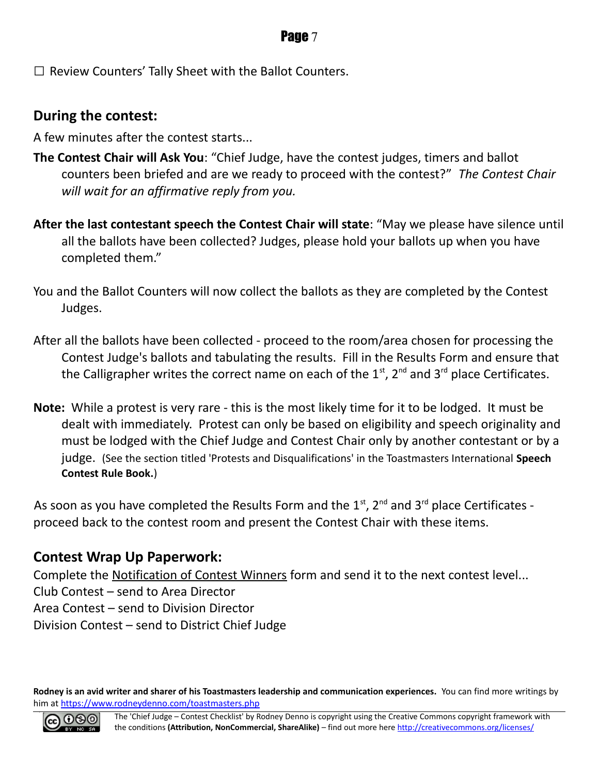#### **Page 7**

 $\square$  Review Counters' Tally Sheet with the Ballot Counters.

#### **During the contest:**

A few minutes after the contest starts...

- **The Contest Chair will Ask You**: "Chief Judge, have the contest judges, timers and ballot counters been briefed and are we ready to proceed with the contest?" *The Contest Chair will wait for an affirmative reply from you.*
- **After the last contestant speech the Contest Chair will state**: "May we please have silence until all the ballots have been collected? Judges, please hold your ballots up when you have completed them."
- You and the Ballot Counters will now collect the ballots as they are completed by the Contest Judges.
- After all the ballots have been collected proceed to the room/area chosen for processing the Contest Judge's ballots and tabulating the results. Fill in the Results Form and ensure that the Calligrapher writes the correct name on each of the  $1<sup>st</sup>$ ,  $2<sup>nd</sup>$  and  $3<sup>rd</sup>$  place Certificates.
- **Note:** While a protest is very rare this is the most likely time for it to be lodged. It must be dealt with immediately. Protest can only be based on eligibility and speech originality and must be lodged with the Chief Judge and Contest Chair only by another contestant or by a judge. (See the section titled 'Protests and Disqualifications' in the Toastmasters International **Speech Contest Rule Book.**)

As soon as you have completed the Results Form and the  $1<sup>st</sup>$ ,  $2<sup>nd</sup>$  and  $3<sup>rd</sup>$  place Certificates proceed back to the contest room and present the Contest Chair with these items.

#### **Contest Wrap Up Paperwork:**

Complete the Notification of Contest Winners form and send it to the next contest level... Club Contest – send to Area Director Area Contest – send to Division Director Division Contest – send to District Chief Judge